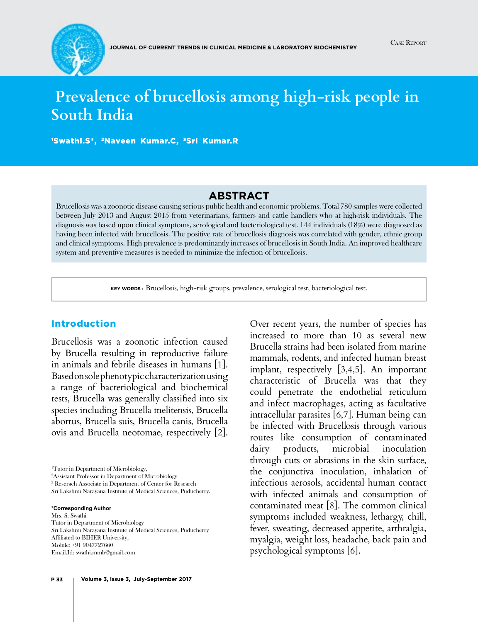

# **Prevalence of brucellosis among high-risk people in South India**

1 Swathi.S\*, 2Naveen Kumar.C, 3Sri Kumar.R

## **Abstract**

Brucellosis was a zoonotic disease causing serious public health and economic problems. Total 780 samples were collected between July 2013 and August 2015 from veterinarians, farmers and cattle handlers who at high-risk individuals. The diagnosis was based upon clinical symptoms, serological and bacteriological test. 144 individuals (18%) were diagnosed as having been infected with brucellosis. The positive rate of brucellosis diagnosis was correlated with gender, ethnic group and clinical symptoms. High prevalence is predominantly increases of brucellosis in South India. An improved healthcare system and preventive measures is needed to minimize the infection of brucellosis.

**Key words :** Brucellosis, high-risk groups, prevalence, serological test, bacteriological test.

#### Introduction

Brucellosis was a zoonotic infection caused by Brucella resulting in reproductive failure in animals and febrile diseases in humans [1]. Based on sole phenotypic characterization using a range of bacteriological and biochemical tests, Brucella was generally classified into six species including Brucella melitensis, Brucella abortus, Brucella suis, Brucella canis, Brucella ovis and Brucella neotomae, respectively [2].

**\*Corresponding Author** Mrs. S. Swathi Tutor in Department of Microbiology Sri Lakshmi Narayana Institute of Medical Sciences, Puducherry Affiliated to BIHER University, Mobile: +91 9047727660 Email.Id: [swathi.mmb@gmail.com](mailto:swathi.mmb@gmail.com)

**P 33 Volume 3, Issue 3, July-September 2017**

Over recent years, the number of species has increased to more than 10 as several new Brucella strains had been isolated from marine mammals, rodents, and infected human breast implant, respectively [3,4,5]. An important characteristic of Brucella was that they could penetrate the endothelial reticulum and infect macrophages, acting as facultative intracellular parasites [6,7]. Human being can be infected with Brucellosis through various routes like consumption of contaminated dairy products, microbial inoculation through cuts or abrasions in the skin surface, the conjunctiva inoculation, inhalation of infectious aerosols, accidental human contact with infected animals and consumption of contaminated meat [8]. The common clinical symptoms included weakness, lethargy, chill, fever, sweating, decreased appetite, arthralgia, myalgia, weight loss, headache, back pain and psychological symptoms [6].

<sup>1</sup> Tutor in Department of Microbiology,

<sup>2</sup> Assistant Professor in Department of Microbiology

<sup>3</sup> Reserach Associate in Department of Center for Research

Sri Lakshmi Narayana Institute of Medical Sciences, Puducherry.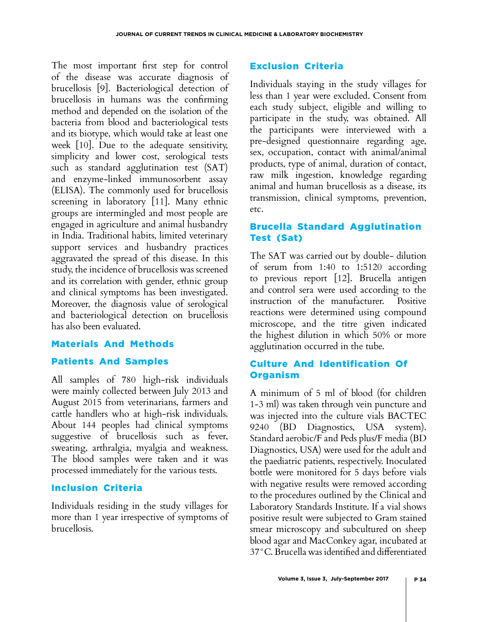The most important first step for control of the disease was accurate diagnosis of brucellosis [9]. Bacteriological detection of brucellosis in humans was the confirming method and depended on the isolation of the bacteria from blood and bacteriological tests and its biotype, which would take at least one week [10]. Due to the adequate sensitivity, simplicity and lower cost, serological tests such as standard agglutination test (SAT) and enzyme-linked immunosorbent assay (ELISA). The commonly used for brucellosis screening in laboratory [11]. Many ethnic groups are intermingled and most people are engaged in agriculture and animal husbandry in India. Traditional habits, limited veterinary support services and husbandry practices aggravated the spread of this disease. In this study, the incidence of brucellosis was screened and its correlation with gender, ethnic group and clinical symptoms has been investigated. Moreover, the diagnosis value of serological and bacteriological detection on brucellosis has also been evaluated.

# Materials And Methods

# Patients And Samples

All samples of 780 high-risk individuals were mainly collected between July 2013 and August 2015 from veterinarians, farmers and cattle handlers who at high-risk individuals. About 144 peoples had clinical symptoms suggestive of brucellosis such as fever, sweating, arthralgia, myalgia and weakness. The blood samples were taken and it was processed immediately for the various tests.

# Inclusion Criteria

Individuals residing in the study villages for more than 1 year irrespective of symptoms of brucellosis.

# Exclusion Criteria

Individuals staying in the study villages for less than 1 year were excluded. Consent from each study subject, eligible and willing to participate in the study, was obtained. All the participants were interviewed with a pre-designed questionnaire regarding age, sex, occupation, contact with animal/animal products, type of animal, duration of contact, raw milk ingestion, knowledge regarding animal and human brucellosis as a disease, its transmission, clinical symptoms, prevention, etc.

# Brucella Standard Agglutination Test (Sat)

The SAT was carried out by double- dilution of serum from 1:40 to 1:5120 according to previous report [12]. Brucella antigen and control sera were used according to the instruction of the manufacturer. Positive reactions were determined using compound microscope, and the titre given indicated the highest dilution in which 50% or more agglutination occurred in the tube.

# Culture And Identification Of **Organism**

A minimum of 5 ml of blood (for children 1-3 ml) was taken through vein puncture and was injected into the culture vials BACTEC 9240 (BD Diagnostics, USA system). Standard aerobic/F and Peds plus/F media (BD Diagnostics, USA) were used for the adult and the paediatric patients, respectively. Inoculated bottle were monitored for 5 days before vials with negative results were removed according to the procedures outlined by the Clinical and Laboratory Standards Institute. If a vial shows positive result were subjected to Gram stained smear microscopy and subcultured on sheep blood agar and MacConkey agar, incubated at 37°C. Brucella was identified and differentiated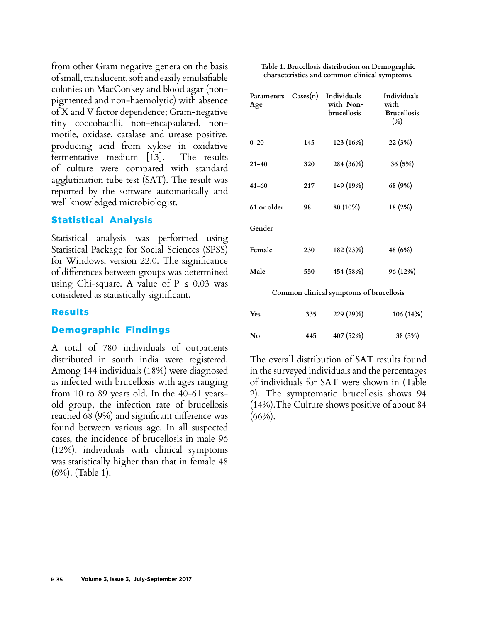from other Gram negative genera on the basis of small, translucent, soft and easily emulsifiable colonies on MacConkey and blood agar (nonpigmented and non-haemolytic) with absence of X and V factor dependence; Gram-negative tiny coccobacilli, non-encapsulated, nonmotile, oxidase, catalase and urease positive, producing acid from xylose in oxidative fermentative medium [13]. The results of culture were compared with standard agglutination tube test (SAT). The result was reported by the software automatically and well knowledged microbiologist.

# Statistical Analysis

Statistical analysis was performed using Statistical Package for Social Sciences (SPSS) for Windows, version 22.0. The significance of differences between groups was determined using Chi-square. A value of  $P \leq 0.03$  was considered as statistically significant.

#### Results

### Demographic Findings

A total of 780 individuals of outpatients distributed in south india were registered. Among 144 individuals (18%) were diagnosed as infected with brucellosis with ages ranging from 10 to 89 years old. In the 40-61 yearsold group, the infection rate of brucellosis reached 68 (9%) and significant difference was found between various age. In all suspected cases, the incidence of brucellosis in male 96 (12%), individuals with clinical symptoms was statistically higher than that in female 48 (6%). (Table 1).

| Table 1. Brucellosis distribution on Demographic |  |
|--------------------------------------------------|--|
| characteristics and common clinical symptoms.    |  |

| Parameters<br>Age                       | $\text{Cases(n)}$ | Individuals<br>with Non-<br>brucellosis | Individuals<br>with<br><b>Brucellosis</b><br>$(\%)$ |
|-----------------------------------------|-------------------|-----------------------------------------|-----------------------------------------------------|
| $0 - 20$                                | 145               | 123 (16%)                               | 22 (3%)                                             |
| $21 - 40$                               | 320               | 284 (36%)                               | 36 (5%)                                             |
| $41 - 60$                               | 217               | 149 (19%)                               | 68 (9%)                                             |
| 61 or older                             | 98                | 80 (10%)                                | 18 (2%)                                             |
| Gender                                  |                   |                                         |                                                     |
| Female                                  | 230               | 182 (23%)                               | 48 (6%)                                             |
| Male                                    | 550               | 454 (58%)                               | 96 (12%)                                            |
| Common clinical symptoms of brucellosis |                   |                                         |                                                     |

| Yes | 335 | 229 (29%) | 106 (14%) |
|-----|-----|-----------|-----------|
| No  | 445 | 407 (52%) | 38 (5%)   |

The overall distribution of SAT results found in the surveyed individuals and the percentages of individuals for SAT were shown in (Table 2). The symptomatic brucellosis shows 94 (14%).The Culture shows positive of about 84  $(66\%)$ .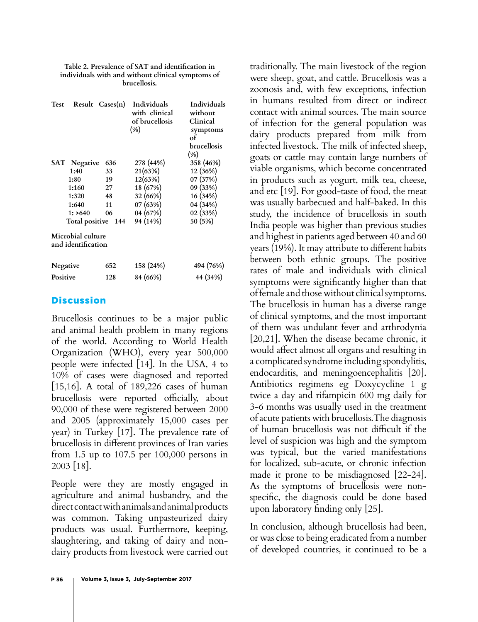| Test                                    |                 | Result Cases(n)    | Individuals<br>with clinical<br>of brucellosis<br>$(\% )$ | Individuals<br>without<br>Clinical<br>symptoms<br>of<br>brucellosis<br>$(\%)$ |
|-----------------------------------------|-----------------|--------------------|-----------------------------------------------------------|-------------------------------------------------------------------------------|
| SAT                                     | <b>Negative</b> | 636                | 278 (44%)                                                 | 358 (46%)                                                                     |
|                                         | 1:40            | 33                 | 21(63%)                                                   | 12 (36%)                                                                      |
| 1:80                                    |                 | 19                 | 12(63%)                                                   | 07 (37%)                                                                      |
|                                         | 1:160           | 27                 | 18 (67%)                                                  | 09 (33%)                                                                      |
|                                         | 1:320           | 48                 | 32 (66%)                                                  | 16 (34%)                                                                      |
|                                         | 1:640           | 11                 | 07 (63%)                                                  | 04 (34%)                                                                      |
|                                         | 1: >640         | 06                 | 04 (67%)                                                  | 02 (33%)                                                                      |
|                                         |                 | Total positive 144 | 94 (14%)                                                  | 50 (5%)                                                                       |
| Microbial culture<br>and identification |                 |                    |                                                           |                                                                               |
| Negative                                |                 | 652                | 158 (24%)                                                 | 494 (76%)                                                                     |
| Positive                                |                 | 128                | 84 (66%)                                                  | 44 (34%)                                                                      |

| Table 2. Prevalence of SAT and identification in  |
|---------------------------------------------------|
| individuals with and without clinical symptoms of |
| brucellosis.                                      |

# **Discussion**

Brucellosis continues to be a major public and animal health problem in many regions of the world. According to World Health Organization (WHO), every year 500,000 people were infected [14]. In the USA, 4 to 10% of cases were diagnosed and reported [15,16]. A total of 189,226 cases of human brucellosis were reported officially, about 90,000 of these were registered between 2000 and 2005 (approximately 15,000 cases per year) in Turkey [17]. The prevalence rate of brucellosis in different provinces of Iran varies from 1.5 up to 107.5 per 100,000 persons in 2003 [18].

People were they are mostly engaged in agriculture and animal husbandry, and the direct contact with animals and animal products was common. Taking unpasteurized dairy products was usual. Furthermore, keeping, slaughtering, and taking of dairy and nondairy products from livestock were carried out traditionally. The main livestock of the region were sheep, goat, and cattle. Brucellosis was a zoonosis and, with few exceptions, infection in humans resulted from direct or indirect contact with animal sources. The main source of infection for the general population was dairy products prepared from milk from infected livestock. The milk of infected sheep, goats or cattle may contain large numbers of viable organisms, which become concentrated in products such as yogurt, milk tea, cheese, and etc [19]. For good-taste of food, the meat was usually barbecued and half-baked. In this study, the incidence of brucellosis in south India people was higher than previous studies and highest in patients aged between 40 and 60 years (19%). It may attribute to different habits between both ethnic groups. The positive rates of male and individuals with clinical symptoms were significantly higher than that of female and those without clinical symptoms. The brucellosis in human has a diverse range of clinical symptoms, and the most important of them was undulant fever and arthrodynia [20,21]. When the disease became chronic, it would affect almost all organs and resulting in a complicated syndrome including spondylitis, endocarditis, and meningoencephalitis [20]. Antibiotics regimens eg Doxycycline 1 g twice a day and rifampicin 600 mg daily for 3-6 months was usually used in the treatment of acute patients with brucellosis.The diagnosis of human brucellosis was not difficult if the level of suspicion was high and the symptom was typical, but the varied manifestations for localized, sub-acute, or chronic infection made it prone to be misdiagnosed [22-24]. As the symptoms of brucellosis were nonspecific, the diagnosis could be done based upon laboratory finding only [25].

In conclusion, although brucellosis had been, or was close to being eradicated from a number of developed countries, it continued to be a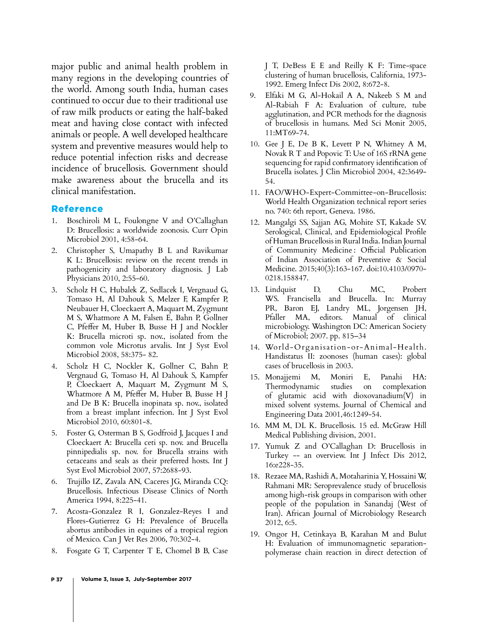major public and animal health problem in many regions in the developing countries of the world. Among south India, human cases continued to occur due to their traditional use of raw milk products or eating the half-baked meat and having close contact with infected animals or people. A well developed healthcare system and preventive measures would help to reduce potential infection risks and decrease incidence of brucellosis. Government should make awareness about the brucella and its clinical manifestation.

#### Reference

- 1. Boschiroli M L, Foulongne V and O'Callaghan D: Brucellosis: a worldwide zoonosis. Curr Opin Microbiol 2001, 4:58-64.
- 2. Christopher S, Umapathy B L and Ravikumar K L: Brucellosis: review on the recent trends in pathogenicity and laboratory diagnosis. J Lab Physicians 2010, 2:55-60.
- 3. Scholz H C, Hubalek Z, Sedlacek I, Vergnaud G, Tomaso H, Al Dahouk S, Melzer F, Kampfer P, Neubauer H, Cloeckaert A, Maquart M, Zygmunt M S, Whatmore A M, Falsen E, Bahn P, Gollner C, Pfeffer M, Huber B, Busse H J and Nockler K: Brucella microti sp. nov., isolated from the common vole Microtus arvalis. Int J Syst Evol Microbiol 2008, 58:375- 82.
- 4. Scholz H C, Nockler K, Gollner C, Bahn P, Vergnaud G, Tomaso H, Al Dahouk S, Kampfer P, Cloeckaert A, Maquart M, Zygmunt M S, Whatmore A M, Pfeffer M, Huber B, Busse H J and De B K: Brucella inopinata sp. nov., isolated from a breast implant infection. Int J Syst Evol Microbiol 2010, 60:801-8.
- 5. Foster G, Osterman B S, Godfroid J, Jacques I and Cloeckaert A: Brucella ceti sp. nov. and Brucella pinnipedialis sp. nov. for Brucella strains with cetaceans and seals as their preferred hosts. Int J Syst Evol Microbiol 2007, 57:2688-93.
- 6. Trujillo IZ, Zavala AN, Caceres JG, Miranda CQ: Brucellosis. Infectious Disease Clinics of North America 1994, 8:225-41.
- 7. Acosta-Gonzalez R I, Gonzalez-Reyes I and Flores-Gutierrez G H: Prevalence of Brucella abortus antibodies in equines of a tropical region of Mexico. Can J Vet Res 2006, 70:302-4.
- 8. Fosgate G T, Carpenter T E, Chomel B B, Case

J T, DeBess E E and Reilly K F: Time-space clustering of human brucellosis, California, 1973- 1992. Emerg Infect Dis 2002, 8:672-8.

- 9. Elfaki M G, Al-Hokail A A, Nakeeb S M and Al-Rabiah F A: Evaluation of culture, tube agglutination, and PCR methods for the diagnosis of brucellosis in humans. Med Sci Monit 2005, 11:MT69-74.
- 10. Gee J E, De B K, Levett P N, Whitney A M, Novak R T and Popovic T: Use of 16S rRNA gene sequencing for rapid confirmatory identification of Brucella isolates. J Clin Microbiol 2004, 42:3649- 54.
- 11. FAO/WHO-Expert-Committee-on-Brucellosis: World Health Organization technical report series no. 740: 6th report, Geneva. 1986.
- 12. Mangalgi SS, Sajjan AG, Mohite ST, Kakade SV. Serological, Clinical, and Epidemiological Profile of Human Brucellosis in Rural India. Indian Journal of Community Medicine : Official Publication of Indian Association of Preventive & Social Medicine. 2015;40(3):163-167. doi:10.4103/0970- 0218.158847.
- 13. Lindquist D, Chu MC, Probert WS. Francisella and Brucella. In: Murray PR, Baron EJ, Landry ML, Jorgensen JH, Pfaller MA, editors. Manual of clinical microbiology. Washington DC: American Society of Microbiol; 2007. pp. 815–34
- 14. World-Organisation-or-Animal-Health. Handistatus II: zoonoses (human cases): global cases of brucellosis in 2003.
- 15. Monajjemi M, Moniri E, Panahi HA: Thermodynamic studies on complexation of glutamic acid with dioxovanadium(V) in mixed solvent systems. Journal of Chemical and Engineering Data 2001,46:1249-54.
- 16. MM M, DL K. Brucellosis. 15 ed. McGraw Hill Medical Publishing division, 2001.
- 17. Yumuk Z and O'Callaghan D: Brucellosis in Turkey -- an overview. Int J Infect Dis 2012, 16:e228-35.
- 18. Rezaee MA, Rashidi A, Motaharinia Y, Hossaini W, Rahmani MR: Seroprevalence study of brucellosis among high-risk groups in comparison with other people of the population in Sanandaj (West of Iran). African Journal of Microbiology Research 2012, 6:5.
- 19. Ongor H, Cetinkaya B, Karahan M and Bulut H: Evaluation of immunomagnetic separationpolymerase chain reaction in direct detection of